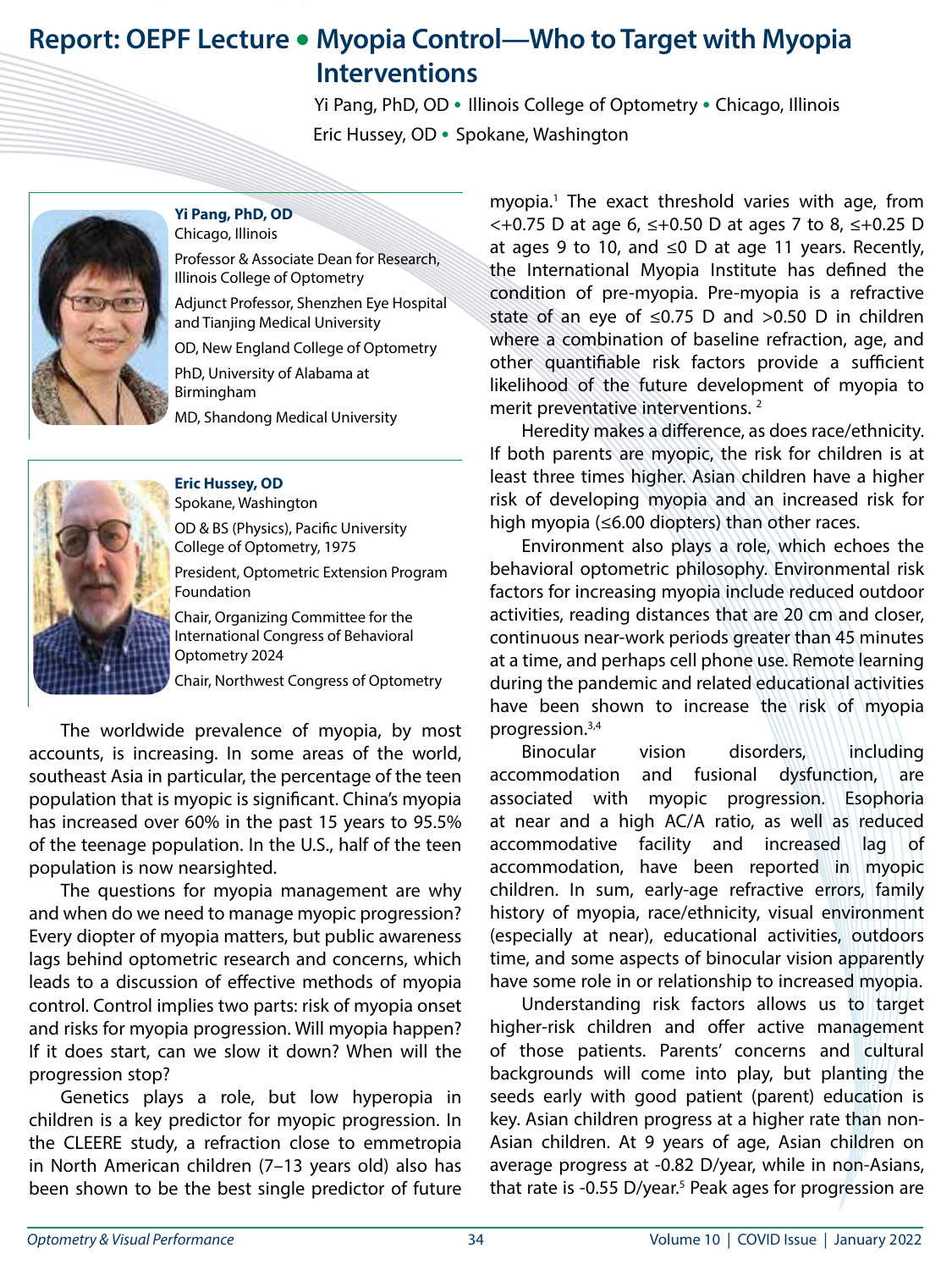## **Report: OEPF Lecture • Myopia Control—Who to Target with Myopia Interventions**

 Yi Pang, PhD, OD **•** Illinois College of Optometry **•** Chicago, Illinois Eric Hussey, OD **•** Spokane, Washington



**Yi Pang, PhD, OD** Chicago, Illinois Professor & Associate Dean for Research,

Illinois College of Optometry Adjunct Professor, Shenzhen Eye Hospital and Tianjing Medical University

OD, New England College of Optometry

PhD, University of Alabama at Birmingham

MD, Shandong Medical University



International Congress of Behavioral Optometry 2024

Chair, Northwest Congress of Optometry

The worldwide prevalence of myopia, by most accounts, is increasing. In some areas of the world, southeast Asia in particular, the percentage of the teen population that is myopic is significant. China's myopia has increased over 60% in the past 15 years to 95.5% of the teenage population. In the U.S., half of the teen population is now nearsighted.

The questions for myopia management are why and when do we need to manage myopic progression? Every diopter of myopia matters, but public awareness lags behind optometric research and concerns, which leads to a discussion of effective methods of myopia control. Control implies two parts: risk of myopia onset and risks for myopia progression. Will myopia happen? If it does start, can we slow it down? When will the progression stop?

Genetics plays a role, but low hyperopia in children is a key predictor for myopic progression. In the CLEERE study, a refraction close to emmetropia in North American children (7–13 years old) also has been shown to be the best single predictor of future

myopia.1 The exact threshold varies with age, from <+0.75 D at age 6, ≤+0.50 D at ages 7 to 8, ≤+0.25 D at ages 9 to 10, and ≤0 D at age 11 years. Recently, the International Myopia Institute has defined the condition of pre-myopia. Pre-myopia is a refractive state of an eye of  $\leq 0.75$  D and  $> 0.50$  D in children where a combination of baseline refraction, age, and other quantifiable risk factors provide a sufficient likelihood of the future development of myopia to merit preventative interventions. 2

Heredity makes a difference, as does race/ethnicity. If both parents are myopic, the risk for children is at least three times higher. Asian children have a higher risk of developing myopia and an increased risk for high myopia (≤6.00 diopters) than other races.

Environment also plays a role, which echoes the behavioral optometric philosophy. Environmental risk factors for increasing myopia include reduced outdoor activities, reading distances that are 20 cm and closer, continuous near-work periods greater than 45 minutes at a time, and perhaps cell phone use. Remote learning during the pandemic and related educational activities have been shown to increase the risk of myopia progression.3,4

Binocular vision disorders, including accommodation and fusional dysfunction, are associated with myopic progression. Esophoria at near and a high AC/A ratio, as well as reduced accommodative facility and increased lag of accommodation, have been reported in myopic children. In sum, early-age refractive errors, family history of myopia, race/ethnicity, visual environment (especially at near), educational activities, outdoors time, and some aspects of binocular vision apparently have some role in or relationship to increased myopia.

Understanding risk factors allows us to target higher-risk children and offer active management of those patients. Parents' concerns and cultural backgrounds will come into play, but planting the seeds early with good patient (parent) education is key. Asian children progress at a higher rate than non-Asian children. At 9 years of age, Asian children on average progress at -0.82 D/year, while in non-Asians, that rate is -0.55 D/year.<sup>5</sup> Peak ages for progression are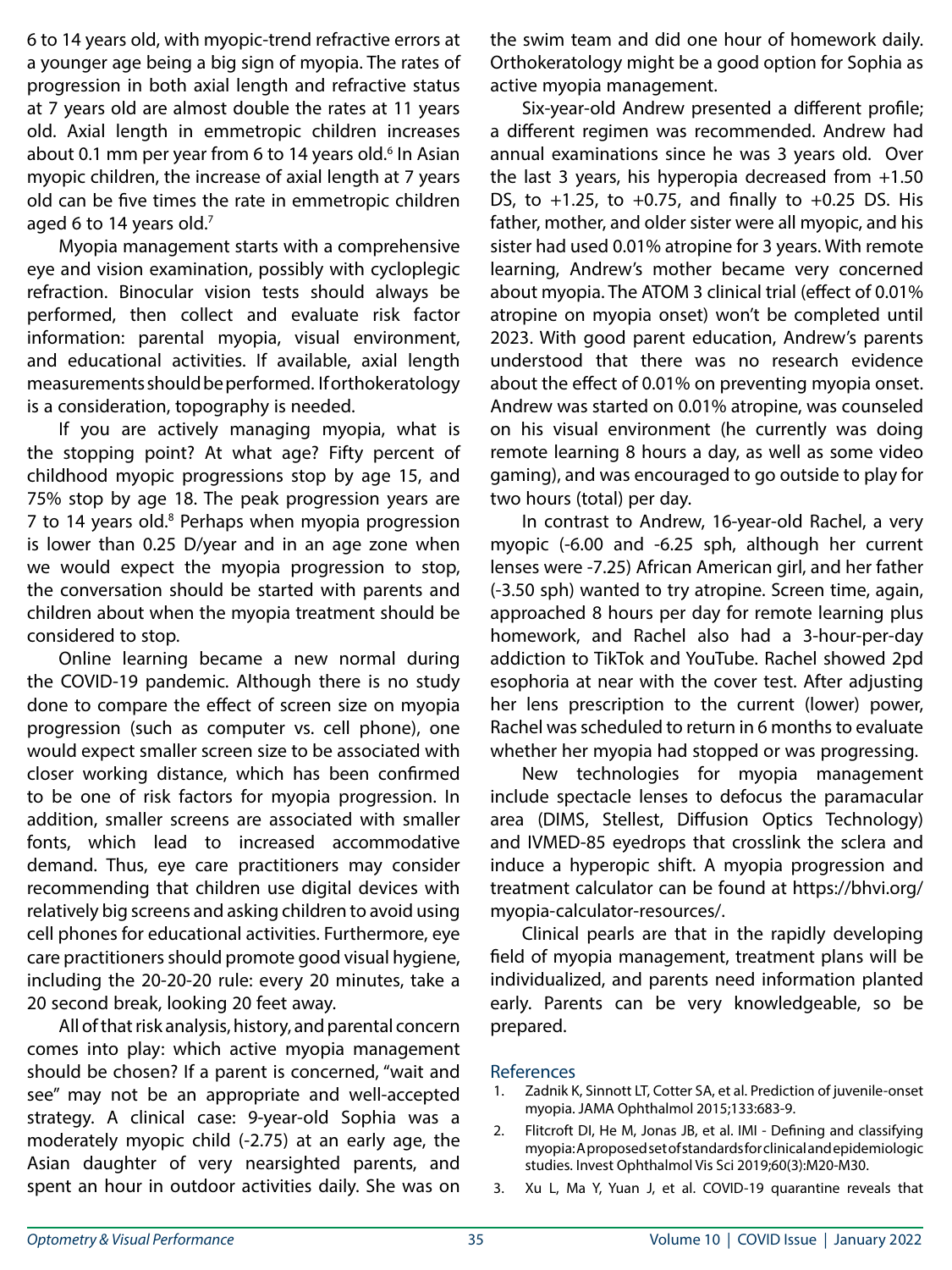6 to 14 years old, with myopic-trend refractive errors at a younger age being a big sign of myopia. The rates of progression in both axial length and refractive status at 7 years old are almost double the rates at 11 years old. Axial length in emmetropic children increases about 0.1 mm per year from 6 to 14 years old.<sup>6</sup> In Asian myopic children, the increase of axial length at 7 years old can be five times the rate in emmetropic children aged 6 to 14 years old. $7$ 

Myopia management starts with a comprehensive eye and vision examination, possibly with cycloplegic refraction. Binocular vision tests should always be performed, then collect and evaluate risk factor information: parental myopia, visual environment, and educational activities. If available, axial length measurements should be performed. If orthokeratology is a consideration, topography is needed.

If you are actively managing myopia, what is the stopping point? At what age? Fifty percent of childhood myopic progressions stop by age 15, and 75% stop by age 18. The peak progression years are 7 to 14 years old.<sup>8</sup> Perhaps when myopia progression is lower than 0.25 D/year and in an age zone when we would expect the myopia progression to stop, the conversation should be started with parents and children about when the myopia treatment should be considered to stop.

Online learning became a new normal during the COVID-19 pandemic. Although there is no study done to compare the effect of screen size on myopia progression (such as computer vs. cell phone), one would expect smaller screen size to be associated with closer working distance, which has been confirmed to be one of risk factors for myopia progression. In addition, smaller screens are associated with smaller fonts, which lead to increased accommodative demand. Thus, eye care practitioners may consider recommending that children use digital devices with relatively big screens and asking children to avoid using cell phones for educational activities. Furthermore, eye care practitioners should promote good visual hygiene, including the 20-20-20 rule: every 20 minutes, take a 20 second break, looking 20 feet away.

All of that risk analysis, history, and parental concern comes into play: which active myopia management should be chosen? If a parent is concerned, "wait and see" may not be an appropriate and well-accepted strategy. A clinical case: 9-year-old Sophia was a moderately myopic child (-2.75) at an early age, the Asian daughter of very nearsighted parents, and spent an hour in outdoor activities daily. She was on the swim team and did one hour of homework daily. Orthokeratology might be a good option for Sophia as active myopia management.

Six-year-old Andrew presented a different profile; a different regimen was recommended. Andrew had annual examinations since he was 3 years old. Over the last 3 years, his hyperopia decreased from +1.50 DS, to  $+1.25$ , to  $+0.75$ , and finally to  $+0.25$  DS. His father, mother, and older sister were all myopic, and his sister had used 0.01% atropine for 3 years. With remote learning, Andrew's mother became very concerned about myopia. The ATOM 3 clinical trial (effect of 0.01% atropine on myopia onset) won't be completed until 2023. With good parent education, Andrew's parents understood that there was no research evidence about the effect of 0.01% on preventing myopia onset. Andrew was started on 0.01% atropine, was counseled on his visual environment (he currently was doing remote learning 8 hours a day, as well as some video gaming), and was encouraged to go outside to play for two hours (total) per day.

In contrast to Andrew, 16-year-old Rachel, a very myopic (-6.00 and -6.25 sph, although her current lenses were -7.25) African American girl, and her father (-3.50 sph) wanted to try atropine. Screen time, again, approached 8 hours per day for remote learning plus homework, and Rachel also had a 3-hour-per-day addiction to TikTok and YouTube. Rachel showed 2pd esophoria at near with the cover test. After adjusting her lens prescription to the current (lower) power, Rachel was scheduled to return in 6 months to evaluate whether her myopia had stopped or was progressing.

New technologies for myopia management include spectacle lenses to defocus the paramacular area (DIMS, Stellest, Diffusion Optics Technology) and IVMED-85 eyedrops that crosslink the sclera and induce a hyperopic shift. A myopia progression and treatment calculator can be found at https://bhvi.org/ myopia-calculator-resources/.

Clinical pearls are that in the rapidly developing field of myopia management, treatment plans will be individualized, and parents need information planted early. Parents can be very knowledgeable, so be prepared.

## References

- Zadnik K, Sinnott LT, Cotter SA, et al. Prediction of juvenile-onset myopia. JAMA Ophthalmol 2015;133:683-9.
- 2. Flitcroft DI, He M, Jonas JB, et al. IMI Defining and classifying myopia: A proposed set of standards for clinical and epidemiologic studies. Invest Ophthalmol Vis Sci 2019;60(3):M20-M30.
- 3. Xu L, Ma Y, Yuan J, et al. COVID-19 quarantine reveals that